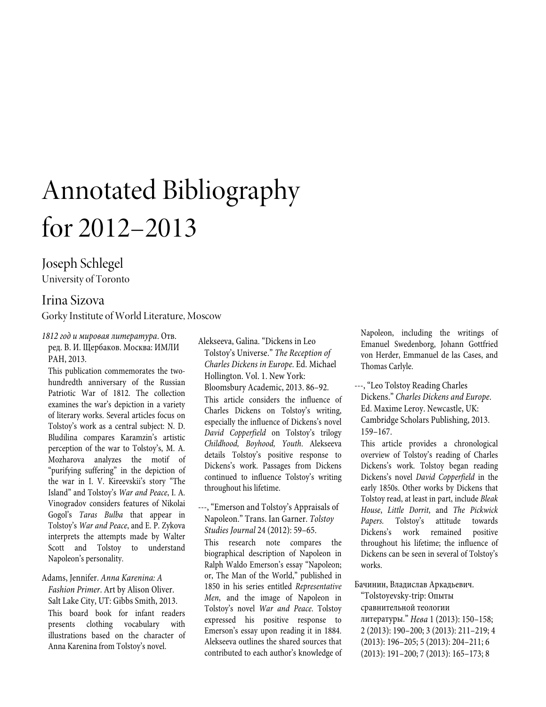# Annotated Bibliography for 2012–2013

# Joseph Schlegel

University of Toronto

# Irina Sizova

Gorky Institute of World Literature, Moscow

*1812 год и мировая литература*. Отв. ред. В. И. Щербаков. Москва: ИМЛИ РАН, 2013.

This publication commemorates the twohundredth anniversary of the Russian Patriotic War of 1812. The collection examines the war's depiction in a variety of literary works. Several articles focus on Tolstoy's work as a central subject: N. D. Bludilina compares Karamzin's artistic perception of the war to Tolstoy's, M. A. Mozharova analyzes the motif of "purifying suffering" in the depiction of the war in I. V. Kireevskii's story "The Island" and Tolstoy's *War and Peace*, I. A. Vinogradov considers features of Nikolai Gogol's *Taras Bulba* that appear in Tolstoy's *War and Peace*, and E. P. Zykova interprets the attempts made by Walter Scott and Tolstoy to understand Napoleon's personality.

Adams, Jennifer. *Anna Karenina: A Fashion Primer*. Art by Alison Oliver. Salt Lake City, UT: Gibbs Smith, 2013. This board book for infant readers presents clothing vocabulary with illustrations based on the character of Anna Karenina from Tolstoy's novel.

Alekseeva, Galina. "Dickens in Leo Tolstoy's Universe." *The Reception of Charles Dickens in Europe*. Ed. Michael Hollington. Vol. 1. New York: Bloomsbury Academic, 2013. 86–92. This article considers the influence of Charles Dickens on Tolstoy's writing, especially the influence of Dickens's novel *David Copperfield* on Tolstoy's trilogy *Childhood, Boyhood, Youth*. Alekseeva details Tolstoy's positive response to Dickens's work. Passages from Dickens continued to influence Tolstoy's writing throughout his lifetime.

---, "Emerson and Tolstoy's Appraisals of Napoleon." Trans. Ian Garner. *Tolstoy Studies Journal* 24 (2012): 59–65.

This research note compares the biographical description of Napoleon in Ralph Waldo Emerson's essay "Napoleon; or, The Man of the World," published in 1850 in his series entitled *Representative Men*, and the image of Napoleon in Tolstoy's novel *War and Peace*. Tolstoy expressed his positive response to Emerson's essay upon reading it in 1884. Alekseeva outlines the shared sources that contributed to each author's knowledge of Napoleon, including the writings of Emanuel Swedenborg, Johann Gottfried von Herder, Emmanuel de las Cases, and Thomas Carlyle.

---, "Leo Tolstoy Reading Charles Dickens." *Charles Dickens and Europe*. Ed. Maxime Leroy. Newcastle, UK: Cambridge Scholars Publishing, 2013. 159–167.

This article provides a chronological overview of Tolstoy's reading of Charles Dickens's work. Tolstoy began reading Dickens's novel *David Copperfield* in the early 1850s. Other works by Dickens that Tolstoy read, at least in part, include *Bleak House*, *Little Dorrit*, and *The Pickwick Papers*. Tolstoy's attitude towards Dickens's work remained positive throughout his lifetime; the influence of Dickens can be seen in several of Tolstoy's works.

Бачинин, Владислав Аркадьевич. "Tolstoyevsky-trip: Опыты сравнительной теологии литературы." *Нева* 1 (2013): 150–158; 2 (2013): 190–200; 3 (2013): 211–219; 4 (2013): 196–205; 5 (2013): 204–211; 6 (2013): 191–200; 7 (2013): 165–173; 8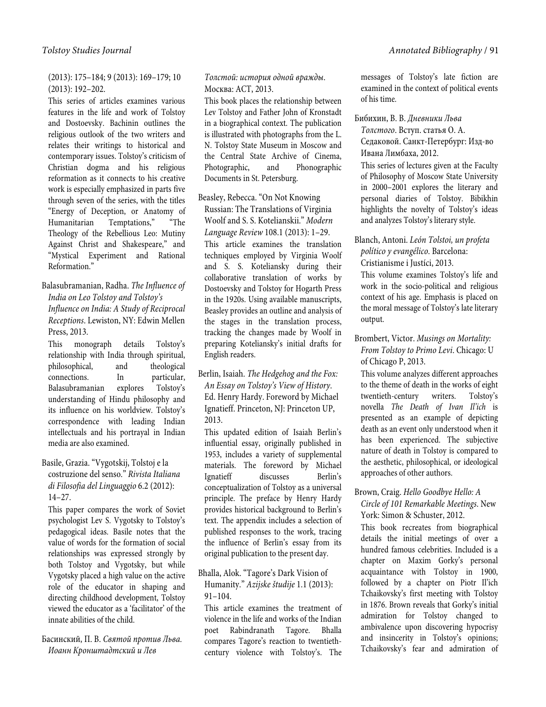# (2013): 175–184; 9 (2013): 169–179; 10 (2013): 192–202.

This series of articles examines various features in the life and work of Tolstoy and Dostoevsky. Bachinin outlines the religious outlook of the two writers and relates their writings to historical and contemporary issues. Tolstoy's criticism of Christian dogma and his religious reformation as it connects to his creative work is especially emphasized in parts five through seven of the series, with the titles "Energy of Deception, or Anatomy of Humanitarian Temptations," "The Theology of the Rebellious Leo: Mutiny Against Christ and Shakespeare," and "Mystical Experiment and Rational Reformation."

Balasubramanian, Radha. *The Influence of India on Leo Tolstoy and Tolstoy's Influence on India: A Study of Reciprocal Receptions*. Lewiston, NY: Edwin Mellen Press, 2013.

This monograph details Tolstoy's relationship with India through spiritual, philosophical, and theological connections. In particular, Balasubramanian explores Tolstoy's understanding of Hindu philosophy and its influence on his worldview. Tolstoy's correspondence with leading Indian intellectuals and his portrayal in Indian media are also examined.

## Basile, Grazia. "Vygotskij, Tolstoj e la costruzione del senso." *Rivista Italiana di Filosofia del Linguaggio* 6.2 (2012): 14–27.

This paper compares the work of Soviet psychologist Lev S. Vygotsky to Tolstoy's pedagogical ideas. Basile notes that the value of words for the formation of social relationships was expressed strongly by both Tolstoy and Vygotsky, but while Vygotsky placed a high value on the active role of the educator in shaping and directing childhood development, Tolstoy viewed the educator as a 'facilitator' of the innate abilities of the child.

Басинский, П. В. *Святой против Льва. Иоанн Кронштадтский и Лев* 

# *Толстой: история одной вражды*. Москва: АСТ, 2013.

This book places the relationship between Lev Tolstoy and Father John of Kronstadt in a biographical context. The publication is illustrated with photographs from the L. N. Tolstoy State Museum in Moscow and the Central State Archive of Cinema, Photographic, and Phonographic Documents in St. Petersburg.

Beasley, Rebecca. "On Not Knowing Russian: The Translations of Virginia Woolf and S. S. Kotelianskii." *Modern Language Review* 108.1 (2013): 1–29. This article examines the translation techniques employed by Virginia Woolf and S. S. Koteliansky during their collaborative translation of works by Dostoevsky and Tolstoy for Hogarth Press in the 1920s. Using available manuscripts, Beasley provides an outline and analysis of the stages in the translation process, tracking the changes made by Woolf in preparing Koteliansky's initial drafts for English readers.

Berlin, Isaiah. *The Hedgehog and the Fox: An Essay on Tolstoy's View of History*. Ed. Henry Hardy. Foreword by Michael Ignatieff. Princeton, NJ: Princeton UP, 2013.

This updated edition of Isaiah Berlin's influential essay, originally published in 1953, includes a variety of supplemental materials. The foreword by Michael Ignatieff discusses Berlin's conceptualization of Tolstoy as a universal principle. The preface by Henry Hardy provides historical background to Berlin's text. The appendix includes a selection of published responses to the work, tracing the influence of Berlin's essay from its original publication to the present day.

## Bhalla, Alok. "Tagore's Dark Vision of Humanity." *Azijske študije* 1.1 (2013):  $91 - 104$ .

This article examines the treatment of violence in the life and works of the Indian poet Rabindranath Tagore. Bhalla compares Tagore's reaction to twentiethcentury violence with Tolstoy's. The

messages of Tolstoy's late fiction are examined in the context of political events of his time.

## Бибихин, В. В. *Дневники Льва Толстого*. Вступ. статья О. А.

Седаковой. Санкт-Петербург: Изд-во Ивана Лимбаха, 2012.

This series of lectures given at the Faculty of Philosophy of Moscow State University in 2000–2001 explores the literary and personal diaries of Tolstoy. Bibikhin highlights the novelty of Tolstoy's ideas and analyzes Tolstoy's literary style.

Blanch, Antoni. *León Tolstoi, un profeta político y evangélico*. Barcelona: Cristianisme i Justíci, 2013.

This volume examines Tolstoy's life and work in the socio-political and religious context of his age. Emphasis is placed on the moral message of Tolstoy's late literary output.

## Brombert, Victor. *Musings on Mortality: From Tolstoy to Primo Levi*. Chicago: U of Chicago P, 2013.

This volume analyzes different approaches to the theme of death in the works of eight twentieth-century writers. Tolstoy's novella *The Death of Ivan Il'ich* is presented as an example of depicting death as an event only understood when it has been experienced. The subjective nature of death in Tolstoy is compared to the aesthetic, philosophical, or ideological approaches of other authors.

#### Brown, Craig. *Hello Goodbye Hello: A Circle of 101 Remarkable Meetings*. New York: Simon & Schuster, 2012.

This book recreates from biographical details the initial meetings of over a hundred famous celebrities. Included is a chapter on Maxim Gorky's personal acquaintance with Tolstoy in 1900, followed by a chapter on Piotr Il'ich Tchaikovsky's first meeting with Tolstoy in 1876. Brown reveals that Gorky's initial admiration for Tolstoy changed to ambivalence upon discovering hypocrisy and insincerity in Tolstoy's opinions; Tchaikovsky's fear and admiration of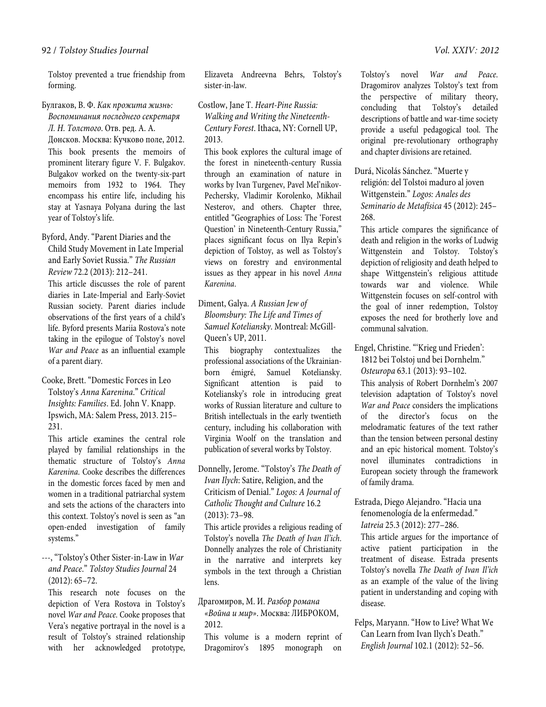Tolstoy prevented a true friendship from forming.

#### Булгаков, В. Ф. *Как прожита жизнь:*

*Воспоминания последнего секретаря Л. Н. Толстого*. Отв. ред. А. А. Донсков. Москва: Кучково поле, 2012. This book presents the memoirs of prominent literary figure V. F. Bulgakov. Bulgakov worked on the twenty-six-part memoirs from 1932 to 1964. They encompass his entire life, including his stay at Yasnaya Polyana during the last year of Tolstoy's life.

#### Byford, Andy. "Parent Diaries and the Child Study Movement in Late Imperial and Early Soviet Russia." *The Russian Review* 72.2 (2013): 212–241.

This article discusses the role of parent diaries in Late-Imperial and Early-Soviet Russian society. Parent diaries include observations of the first years of a child's life. Byford presents Mariia Rostova's note taking in the epilogue of Tolstoy's novel *War and Peace* as an influential example of a parent diary.

#### Cooke, Brett. "Domestic Forces in Leo Tolstoy's *Anna Karenina*." *Critical Insights: Families*. Ed. John V. Knapp. Ipswich, MA: Salem Press, 2013. 215– 231.

This article examines the central role played by familial relationships in the thematic structure of Tolstoy's *Anna Karenina*. Cooke describes the differences in the domestic forces faced by men and women in a traditional patriarchal system and sets the actions of the characters into this context. Tolstoy's novel is seen as "an open-ended investigation of family systems."

#### ---, "Tolstoy's Other Sister-in-Law in *War and Peace*." *Tolstoy Studies Journal* 24 (2012): 65–72.

This research note focuses on the depiction of Vera Rostova in Tolstoy's novel *War and Peace*. Cooke proposes that Vera's negative portrayal in the novel is a result of Tolstoy's strained relationship with her acknowledged prototype,

Elizaveta Andreevna Behrs, Tolstoy's sister-in-law.

Costlow, Jane T. *Heart-Pine Russia: Walking and Writing the Nineteenth-Century Forest*. Ithaca, NY: Cornell UP, 2013.

This book explores the cultural image of the forest in nineteenth-century Russia through an examination of nature in works by Ivan Turgenev, Pavel Mel'nikov-Pechersky, Vladimir Korolenko, Mikhail Nesterov, and others. Chapter three, entitled "Geographies of Loss: The 'Forest Question' in Nineteenth-Century Russia," places significant focus on Ilya Repin's depiction of Tolstoy, as well as Tolstoy's views on forestry and environmental issues as they appear in his novel *Anna Karenina*.

## Diment, Galya. *A Russian Jew of Bloomsbury: The Life and Times of Samuel Koteliansky*. Montreal: McGill-Queen's UP, 2011.

This biography contextualizes the professional associations of the Ukrainianborn émigré, Samuel Koteliansky. Significant attention is paid to Koteliansky's role in introducing great works of Russian literature and culture to British intellectuals in the early twentieth century, including his collaboration with Virginia Woolf on the translation and publication of several works by Tolstoy.

#### Donnelly, Jerome. "Tolstoy's *The Death of Ivan Ilych*: Satire, Religion, and the Criticism of Denial." *Logos: A Journal of Catholic Thought and Culture* 16.2 (2013): 73–98.

This article provides a religious reading of Tolstoy's novella *The Death of Ivan Il'ich*. Donnelly analyzes the role of Christianity in the narrative and interprets key symbols in the text through a Christian lens.

#### Драгомиров, М. И. *Разбор романа «Война и мир»*. Москва: ЛИБРОКОМ, 2012.

This volume is a modern reprint of Dragomirov's 1895 monograph on

Tolstoy's novel *War and Peace*. Dragomirov analyzes Tolstoy's text from the perspective of military theory, concluding that Tolstoy's detailed descriptions of battle and war-time society provide a useful pedagogical tool. The original pre-revolutionary orthography and chapter divisions are retained.

Durá, Nicolás Sánchez. "Muerte y religión: del Tolstoi maduro al joven Wittgenstein." *Logos: Anales des Seminario de Metafísica* 45 (2012): 245– 268.

This article compares the significance of death and religion in the works of Ludwig Wittgenstein and Tolstoy. Tolstoy's depiction of religiosity and death helped to shape Wittgenstein's religious attitude towards war and violence. While Wittgenstein focuses on self-control with the goal of inner redemption, Tolstoy exposes the need for brotherly love and communal salvation.

Engel, Christine. "'Krieg und Frieden': 1812 bei Tolstoj und bei Dornhelm." *Osteuropa* 63.1 (2013): 93–102.

This analysis of Robert Dornhelm's 2007 television adaptation of Tolstoy's novel *War and Peace* considers the implications of the director's focus on the melodramatic features of the text rather than the tension between personal destiny and an epic historical moment. Tolstoy's novel illuminates contradictions in European society through the framework of family drama.

# Estrada, Diego Alejandro. "Hacia una fenomenología de la enfermedad."

*Iatreia* 25.3 (2012): 277–286.

This article argues for the importance of active patient participation in the treatment of disease. Estrada presents Tolstoy's novella *The Death of Ivan Il'ich* as an example of the value of the living patient in understanding and coping with disease.

Felps, Maryann. "How to Live? What We Can Learn from Ivan Ilych's Death." *English Journal* 102.1 (2012): 52–56.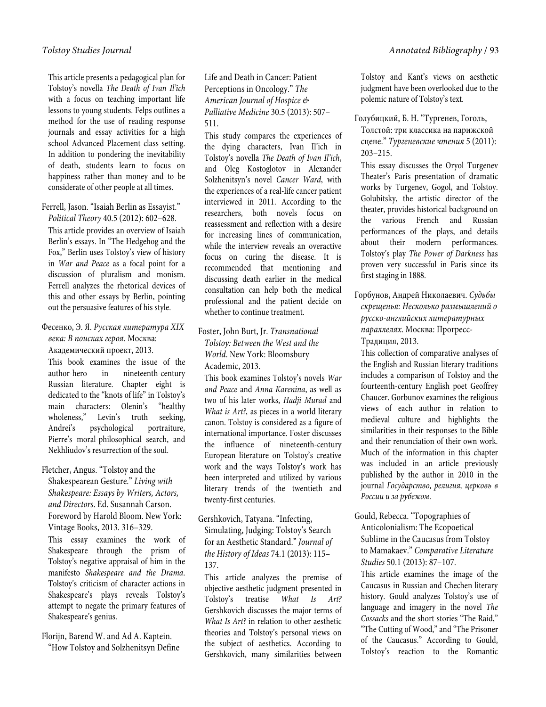This article presents a pedagogical plan for Tolstoy's novella *The Death of Ivan Il'ich*  with a focus on teaching important life lessons to young students. Felps outlines a method for the use of reading response journals and essay activities for a high school Advanced Placement class setting. In addition to pondering the inevitability of death, students learn to focus on happiness rather than money and to be considerate of other people at all times.

# Ferrell, Jason. "Isaiah Berlin as Essayist."

*Political Theory* 40.5 (2012): 602–628. This article provides an overview of Isaiah Berlin's essays. In "The Hedgehog and the Fox," Berlin uses Tolstoy's view of history in *War and Peace* as a focal point for a discussion of pluralism and monism. Ferrell analyzes the rhetorical devices of this and other essays by Berlin, pointing out the persuasive features of his style.

#### Фесенко, Э. Я. *Русская литература XIX века: В поисках героя*. Москва: Академический проект, 2013.

This book examines the issue of the author-hero in nineteenth-century Russian literature. Chapter eight is dedicated to the "knots of life" in Tolstoy's main characters: Olenin's "healthy wholeness," Levin's truth seeking, Andrei's psychological portraiture, Pierre's moral-philosophical search, and Nekhliudov's resurrection of the soul.

#### Fletcher, Angus. "Tolstoy and the

Shakespearean Gesture." *Living with Shakespeare: Essays by Writers, Actors, and Directors*. Ed. Susannah Carson. Foreword by Harold Bloom. New York: Vintage Books, 2013. 316–329.

This essay examines the work of Shakespeare through the prism of Tolstoy's negative appraisal of him in the manifesto *Shakespeare and the Drama*. Tolstoy's criticism of character actions in Shakespeare's plays reveals Tolstoy's attempt to negate the primary features of Shakespeare's genius.

Florijn, Barend W. and Ad A. Kaptein. "How Tolstoy and Solzhenitsyn Define Life and Death in Cancer: Patient Perceptions in Oncology." *The American Journal of Hospice & Palliative Medicine* 30.5 (2013): 507– 511.

This study compares the experiences of the dying characters, Ivan Il'ich in Tolstoy's novella *The Death of Ivan Il'ich*, and Oleg Kostoglotov in Alexander Solzhenitsyn's novel *Cancer Ward*, with the experiences of a real-life cancer patient interviewed in 2011. According to the researchers, both novels focus on reassessment and reflection with a desire for increasing lines of communication, while the interview reveals an overactive focus on curing the disease. It is recommended that mentioning and discussing death earlier in the medical consultation can help both the medical professional and the patient decide on whether to continue treatment.

#### Foster, John Burt, Jr. *Transnational Tolstoy: Between the West and the World*. New York: Bloomsbury Academic, 2013.

This book examines Tolstoy's novels *War and Peace* and *Anna Karenina*, as well as two of his later works, *Hadji Murad* and *What is Art?*, as pieces in a world literary canon. Tolstoy is considered as a figure of international importance. Foster discusses the influence of nineteenth-century European literature on Tolstoy's creative work and the ways Tolstoy's work has been interpreted and utilized by various literary trends of the twentieth and twenty-first centuries.

#### Gershkovich, Tatyana. "Infecting, Simulating, Judging: Tolstoy's Search for an Aesthetic Standard." *Journal of the History of Ideas* 74.1 (2013): 115– 137.

This article analyzes the premise of objective aesthetic judgment presented in Tolstoy's treatise *What Is Art?* Gershkovich discusses the major terms of *What Is Art?* in relation to other aesthetic theories and Tolstoy's personal views on the subject of aesthetics. According to Gershkovich, many similarities between

Tolstoy and Kant's views on aesthetic judgment have been overlooked due to the polemic nature of Tolstoy's text.

Голубицкий, Б. Н. "Тургенев, Гоголь, Толстой: три классика на парижской сцене." *Тургеневские чтения* 5 (2011): 203–215.

This essay discusses the Oryol Turgenev Theater's Paris presentation of dramatic works by Turgenev, Gogol, and Tolstoy. Golubitsky, the artistic director of the theater, provides historical background on the various French and Russian performances of the plays, and details about their modern performances. Tolstoy's play *The Power of Darkness* has proven very successful in Paris since its first staging in 1888.

Горбунов, Андрей Николаевич. *Судьбы скрещенья: Несколько размышлений о русско-английских литературных параллелях*. Москва: Прогресс-Традиция, 2013.

This collection of comparative analyses of the English and Russian literary traditions includes a comparison of Tolstoy and the fourteenth-century English poet Geoffrey Chaucer. Gorbunov examines the religious views of each author in relation to medieval culture and highlights the similarities in their responses to the Bible and their renunciation of their own work. Much of the information in this chapter was included in an article previously published by the author in 2010 in the journal *Государство, религия, церковь в России и за рубежом*.

# Gould, Rebecca. "Topographies of Anticolonialism: The Ecopoetical Sublime in the Caucasus from Tolstoy to Mamakaev." *Comparative Literature Studies* 50.1 (2013): 87–107.

This article examines the image of the Caucasus in Russian and Chechen literary history. Gould analyzes Tolstoy's use of language and imagery in the novel *The Cossacks* and the short stories "The Raid," "The Cutting of Wood," and "The Prisoner of the Caucasus." According to Gould, Tolstoy's reaction to the Romantic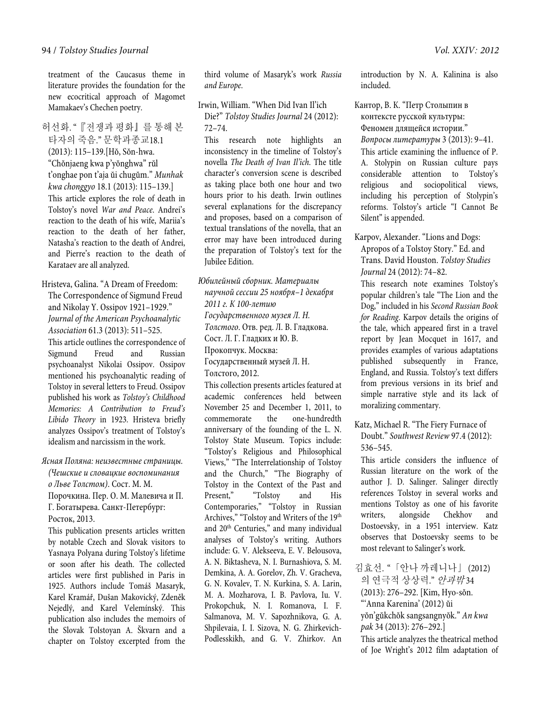treatment of the Caucasus theme in literature provides the foundation for the new ecocritical approach of Magomet Mamakaev's Chechen poetry.

허선화. "『전쟁과 평화』를 통해 본 타자의 죽음." 문학과종교18.1 (2013): 115–139.[Hŏ, Sŏn-hwa. "Chŏnjaeng kwa p'yŏnghwa" rŭl t'onghae pon t'aja ŭi chugŭm." *Munhak kwa chonggyo* 18.1 (2013): 115–139.] This article explores the role of death in Tolstoy's novel *War and Peace*. Andrei's reaction to the death of his wife, Mariia's reaction to the death of her father, Natasha's reaction to the death of Andrei, and Pierre's reaction to the death of Karataev are all analyzed.

Hristeva, Galina. "A Dream of Freedom: The Correspondence of Sigmund Freud and Nikolay Y. Ossipov 1921–1929." *Journal of the American Psychoanalytic Association* 61.3 (2013): 511–525.

This article outlines the correspondence of Sigmund Freud and Russian psychoanalyst Nikolai Ossipov. Ossipov mentioned his psychoanalytic reading of Tolstoy in several letters to Freud. Ossipov published his work as *Tolstoy's Childhood Memories: A Contribution to Freud's Libido Theory* in 1923. Hristeva briefly analyzes Ossipov's treatment of Tolstoy's idealism and narcissism in the work.

*Ясная Поляна: неизвестные страницы. (Чешские и словацкие воспоминания* 

*о Льве Толстом)*. Сост. М. М. Порочкина. Пер. О. М. Малевича и П. Г. Богатырева. Санкт-Петербург: Росток, 2013.

This publication presents articles written by notable Czech and Slovak visitors to Yasnaya Polyana during Tolstoy's lifetime or soon after his death. The collected articles were first published in Paris in 1925. Authors include Tomáš Masaryk, Karel Kramář, Dušan Makovický, Zdeněk Nejedlý, and Karel Velemínský. This publication also includes the memoirs of the Slovak Tolstoyan A. Škvarn and a chapter on Tolstoy excerpted from the

third volume of Masaryk's work *Russia and Europe*.

Irwin, William. "When Did Ivan Il'ich Die?" *Tolstoy Studies Journal* 24 (2012): 72–74.

This research note highlights an inconsistency in the timeline of Tolstoy's novella *The Death of Ivan Il'ich*. The title character's conversion scene is described as taking place both one hour and two hours prior to his death. Irwin outlines several explanations for the discrepancy and proposes, based on a comparison of textual translations of the novella, that an error may have been introduced during the preparation of Tolstoy's text for the Jubilee Edition.

*Юбилейный сборник. Материалы научной сессии 25 ноября–1 декабря 2011 г. К 100-летию Государственного музея Л. Н. Толстого*. Отв. ред. Л. В. Гладкова. Сост. Л. Г. Гладких и Ю. В. Прокопчук. Москва: Государственный музей Л. Н. Толстого, 2012.

This collection presents articles featured at academic conferences held between November 25 and December 1, 2011, to commemorate the one-hundredth anniversary of the founding of the L. N. Tolstoy State Museum. Topics include: "Tolstoy's Religious and Philosophical Views," "The Interrelationship of Tolstoy and the Church," "The Biography of Tolstoy in the Context of the Past and Present," "Tolstoy and His Contemporaries," "Tolstoy in Russian Archives," "Tolstoy and Writers of the 19th and 20<sup>th</sup> Centuries," and many individual analyses of Tolstoy's writing. Authors include: G. V. Alekseeva, E. V. Belousova, A. N. Biktasheva, N. I. Burnashiova, S. M. Demkina, A. A. Gorelov, Zh. V. Gracheva, G. N. Kovalev, T. N. Kurkina, S. A. Larin, M. A. Mozharova, I. B. Pavlova, Iu. V. Prokopchuk, N. I. Romanova, I. F. Salmanova, M. V. Sapozhnikova, G. A. Shpilevaia, I. I. Sizova, N. G. Zhirkevich-Podlesskikh, and G. V. Zhirkov. An introduction by N. A. Kalinina is also included.

Кантор, В. К. "Петр Столыпин в контексте русской культуры: Феномен длящейся истории." *Вопросы литературы* 3 (2013): 9–41. This article examining the influence of P. A. Stolypin on Russian culture pays considerable attention to Tolstoy's religious and sociopolitical views, including his perception of Stolypin's reforms. Tolstoy's article "I Cannot Be Silent" is appended.

Karpov, Alexander. "Lions and Dogs: Apropos of a Tolstoy Story." Ed. and Trans. David Houston. *Tolstoy Studies Journal* 24 (2012): 74–82.

This research note examines Tolstoy's popular children's tale "The Lion and the Dog," included in his *Second Russian Book for Reading*. Karpov details the origins of the tale, which appeared first in a travel report by Jean Mocquet in 1617, and provides examples of various adaptations published subsequently in France, England, and Russia. Tolstoy's text differs from previous versions in its brief and simple narrative style and its lack of moralizing commentary.

Katz, Michael R. "The Fiery Furnace of Doubt." *Southwest Review* 97.4 (2012): 536–545.

This article considers the influence of Russian literature on the work of the author J. D. Salinger. Salinger directly references Tolstoy in several works and mentions Tolstoy as one of his favorite writers, alongside Chekhov and Dostoevsky, in a 1951 interview. Katz observes that Dostoevsky seems to be most relevant to Salinger's work.

김효선. "「안나 까레니나」 (2012) 의 연극적 상상력." 안과밖34 (2013): 276–292. [Kim, Hyo-sŏn. "'Anna Karenina' (2012) ŭi yŏn'gŭkchŏk sangsangnyŏk." *An kwa pak* 34 (2013): 276–292.] This article analyzes the theatrical method of Joe Wright's 2012 film adaptation of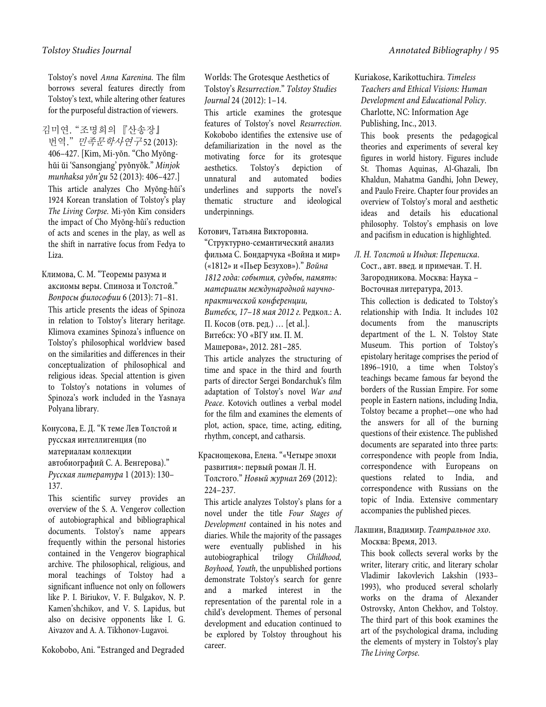Tolstoy's novel *Anna Karenina*. The film borrows several features directly from Tolstoy's text, while altering other features for the purposeful distraction of viewers.

김미연. "조명희의 『산송장』 번역." 민족문*학사연구* 52 (2013): 406–427. [Kim, Mi-yŏn. "Cho Myŏnghŭi ŭi 'Sansongjang' pyŏnyŏk." *Minjok munhaksa yŏn'gu* 52 (2013): 406–427.] This article analyzes Cho Myŏng-hŭi's 1924 Korean translation of Tolstoy's play *The Living Corpse*. Mi-yŏn Kim considers the impact of Cho Myŏng-hŭi's reduction of acts and scenes in the play, as well as the shift in narrative focus from Fedya to Liza.

Климова, С. М. "Теоремы разума и аксиомы веры. Спиноза и Толстой." *Вопросы философии* 6 (2013): 71–81. This article presents the ideas of Spinoza in relation to Tolstoy's literary heritage. Klimova examines Spinoza's influence on Tolstoy's philosophical worldview based on the similarities and differences in their conceptualization of philosophical and religious ideas. Special attention is given to Tolstoy's notations in volumes of Spinoza's work included in the Yasnaya Polyana library.

Конусова, Е. Д. "К теме Лев Толстой и русская интеллигенция (по материалам коллекции автобиографий С. А. Венгерова)." *Русская литература* 1 (2013): 130–

137.

This scientific survey provides an overview of the S. A. Vengerov collection of autobiographical and bibliographical documents. Tolstoy's name appears frequently within the personal histories contained in the Vengerov biographical archive. The philosophical, religious, and moral teachings of Tolstoy had a significant influence not only on followers like P. I. Biriukov, V. F. Bulgakov, N. P. Kamen'shchikov, and V. S. Lapidus, but also on decisive opponents like I. G. Aivazov and A. A. Tikhonov-Lugavoi.

Kokobobo, Ani. "Estranged and Degraded

Worlds: The Grotesque Aesthetics of Tolstoy's *Resurrection*." *Tolstoy Studies Journal* 24 (2012): 1–14.

This article examines the grotesque features of Tolstoy's novel *Resurrection*. Kokobobo identifies the extensive use of defamiliarization in the novel as the motivating force for its grotesque aesthetics. Tolstoy's depiction of unnatural and automated bodies underlines and supports the novel's thematic structure and ideological underpinnings.

Котович, Татьяна Викторовна.

"Структурно-семантический анализ фильма С. Бондарчука «Война и мир» («1812» и «Пьер Безухов»)." *Война 1812 года: события, судьбы, память: материалы международной научнопрактической конференции, Витебск, 17*–*18 мая 2012 г.* Редкол.: А. П. Косов (отв. ред.) … [et al.]. Витебск: УО «ВГУ им. П. М. Машерова», 2012. 281–285.

This article analyzes the structuring of time and space in the third and fourth parts of director Sergei Bondarchuk's film adaptation of Tolstoy's novel *War and Peace*. Kotovich outlines a verbal model for the film and examines the elements of plot, action, space, time, acting, editing, rhythm, concept, and catharsis.

Краснощекова, Елена. "«Четыре эпохи развития»: первый роман Л. Н. Толстого." *Новый журнал* 269 (2012): 224–237.

This article analyzes Tolstoy's plans for a novel under the title *Four Stages of Development* contained in his notes and diaries. While the majority of the passages were eventually published in his autobiographical trilogy *Childhood, Boyhood, Youth*, the unpublished portions demonstrate Tolstoy's search for genre and a marked interest in the representation of the parental role in a child's development. Themes of personal development and education continued to be explored by Tolstoy throughout his career.

Kuriakose, Karikottuchira. *Timeless Teachers and Ethical Visions: Human Development and Educational Policy*. Charlotte, NC: Information Age Publishing, Inc., 2013.

This book presents the pedagogical theories and experiments of several key figures in world history. Figures include St. Thomas Aquinas, Al-Ghazali, Ibn Khaldun, Mahatma Gandhi, John Dewey, and Paulo Freire. Chapter four provides an overview of Tolstoy's moral and aesthetic ideas and details his educational philosophy. Tolstoy's emphasis on love and pacifism in education is highlighted.

*Л. Н. Толстой и Индия: Переписка*. Сост., авт. введ. и примечан. Т. Н. Загородникова. Москва: Наука – Восточная литература, 2013.

This collection is dedicated to Tolstoy's relationship with India. It includes 102 documents from the manuscripts department of the L. N. Tolstoy State Museum. This portion of Tolstoy's epistolary heritage comprises the period of 1896–1910, a time when Tolstoy's teachings became famous far beyond the borders of the Russian Empire. For some people in Eastern nations, including India, Tolstoy became a prophet—one who had the answers for all of the burning questions of their existence. The published documents are separated into three parts: correspondence with people from India, correspondence with Europeans on questions related to India, and correspondence with Russians on the topic of India. Extensive commentary accompanies the published pieces.

Лакшин, Владимир. *Театральное эхо*. Москва: Время, 2013.

This book collects several works by the writer, literary critic, and literary scholar Vladimir Iakovlevich Lakshin (1933– 1993), who produced several scholarly works on the drama of Alexander Ostrovsky, Anton Chekhov, and Tolstoy. The third part of this book examines the art of the psychological drama, including the elements of mystery in Tolstoy's play *The Living Corpse*.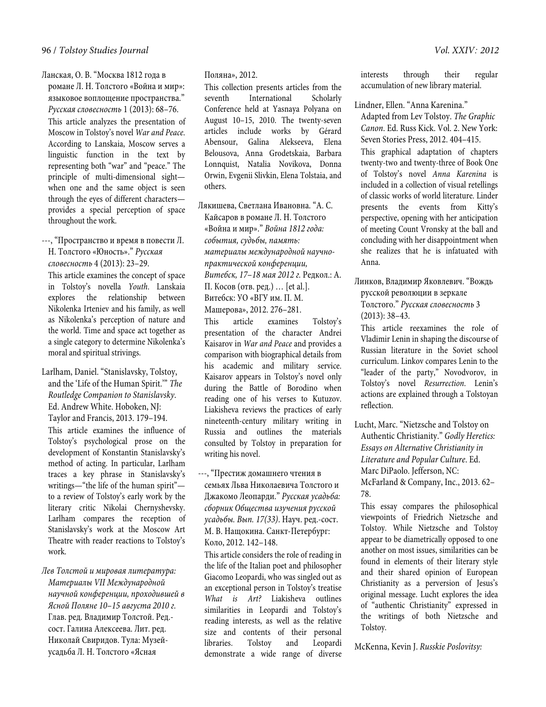Ланская, О. В. "Москва 1812 года в романе Л. Н. Толстого «Война и мир»: языковое воплощение пространства." *Русская словесность* 1 (2013): 68–76. This article analyzes the presentation of

Moscow in Tolstoy's novel *War and Peace*. According to Lanskaia, Moscow serves a linguistic function in the text by representing both "war" and "peace." The principle of multi-dimensional sight when one and the same object is seen through the eyes of different characters provides a special perception of space throughout the work.

---, "Пространство и время в повести Л. Н. Толстого «Юность»." *Русская словесность* 4 (2013): 23–29.

This article examines the concept of space in Tolstoy's novella *Youth*. Lanskaia explores the relationship between Nikolenka Irteniev and his family, as well as Nikolenka's perception of nature and the world. Time and space act together as a single category to determine Nikolenka's moral and spiritual strivings.

Larlham, Daniel. "Stanislavsky, Tolstoy, and the 'Life of the Human Spirit.'" *The Routledge Companion to Stanislavsky*. Ed. Andrew White. Hoboken, NJ: Taylor and Francis, 2013. 179–194. This article examines the influence of Tolstoy's psychological prose on the development of Konstantin Stanislavsky's method of acting. In particular, Larlham traces a key phrase in Stanislavsky's writings—"the life of the human spirit" to a review of Tolstoy's early work by the literary critic Nikolai Chernyshevsky. Larlham compares the reception of Stanislavsky's work at the Moscow Art Theatre with reader reactions to Tolstoy's work.

*Лев Толстой и мировая литература: Материалы VII Международной научной конференции, проходившей в Ясной Поляне 10*–*15 августа 2010 г.* Глав. ред. Владимир Толстой. Ред. сост. Галина Алексеева. Лит. ред. Николай Свиридов. Тула: Музейусадьба Л. Н. Толстого «Ясная

#### Поляна», 2012.

This collection presents articles from the seventh International Scholarly Conference held at Yasnaya Polyana on August 10–15, 2010. The twenty-seven articles include works by Gérard Abensour, Galina Alekseeva, Elena Belousova, Anna Grodetskaia, Barbara Lonnquist, Natalia Novikova, Donna Orwin, Evgenii Slivkin, Elena Tolstaia, and others.

Лякишева, Светлана Ивановна. "А. С. Кайсаров в романе Л. Н. Толстого «Война и мир»." *Война 1812 года: события, судьбы, память: материалы международной научнопрактической конференции, Витебск, 17*–*18 мая 2012 г.* Редкол.: А. П. Косов (отв. ред.) … [et al.]. Витебск: УО «ВГУ им. П. М. Машерова», 2012. 276–281.

This article examines Tolstoy's presentation of the character Andrei Kaisarov in *War and Peace* and provides a comparison with biographical details from his academic and military service. Kaisarov appears in Tolstoy's novel only during the Battle of Borodino when reading one of his verses to Kutuzov. Liakisheva reviews the practices of early nineteenth-century military writing in Russia and outlines the materials consulted by Tolstoy in preparation for writing his novel.

---, "Престиж домашнего чтения в семьях Льва Николаевича Толстого и Джакомо Леопарди." *Русская усадьба: сборник Общества изучения русской усадьбы. Вып. 17(33)*. Науч. ред.-сост. М. В. Нащокина. Санкт-Петербург: Коло, 2012. 142–148.

This article considers the role of reading in the life of the Italian poet and philosopher Giacomo Leopardi, who was singled out as an exceptional person in Tolstoy's treatise *What is Art?* Liakisheva outlines similarities in Leopardi and Tolstoy's reading interests, as well as the relative size and contents of their personal libraries. Tolstoy and Leopardi demonstrate a wide range of diverse interests through their regular accumulation of new library material.

Lindner, Ellen. "Anna Karenina."

Adapted from Lev Tolstoy. *The Graphic Canon*. Ed. Russ Kick. Vol. 2. New York: Seven Stories Press, 2012. 404–415. This graphical adaptation of chapters twenty-two and twenty-three of Book One of Tolstoy's novel *Anna Karenina* is included in a collection of visual retellings of classic works of world literature. Linder presents the events from Kitty's perspective, opening with her anticipation of meeting Count Vronsky at the ball and concluding with her disappointment when she realizes that he is infatuated with Anna.

Линков, Владимир Яковлевич. "Вождь русской революции в зеркале Толстого." *Русская словесность* 3 (2013): 38–43.

This article reexamines the role of Vladimir Lenin in shaping the discourse of Russian literature in the Soviet school curriculum. Linkov compares Lenin to the "leader of the party," Novodvorov, in Tolstoy's novel *Resurrection*. Lenin's actions are explained through a Tolstoyan reflection.

Lucht, Marc. "Nietzsche and Tolstoy on Authentic Christianity." *Godly Heretics: Essays on Alternative Christianity in Literature and Popular Culture*. Ed. Marc DiPaolo. Jefferson, NC: McFarland & Company, Inc., 2013. 62– 78.

This essay compares the philosophical viewpoints of Friedrich Nietzsche and Tolstoy. While Nietzsche and Tolstoy appear to be diametrically opposed to one another on most issues, similarities can be found in elements of their literary style and their shared opinion of European Christianity as a perversion of Jesus's original message. Lucht explores the idea of "authentic Christianity" expressed in the writings of both Nietzsche and Tolstoy.

McKenna, Kevin J. *Russkie Poslovitsy:*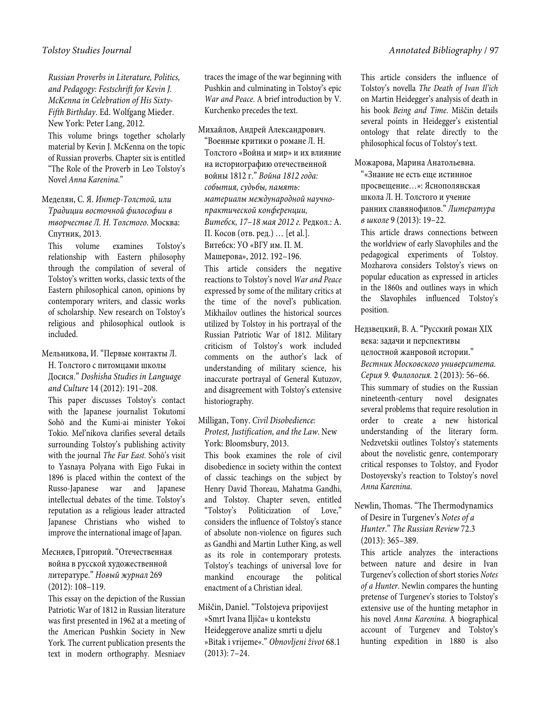*Russian Proverbs in Literature, Politics, and Pedagogy: Festschrift for Kevin J. McKenna in Celebration of His Sixty-Fifth Birthday*. Ed. Wolfgang Mieder. New York: Peter Lang, 2012.

This volume brings together scholarly material by Kevin J. McKenna on the topic of Russian proverbs. Chapter six is entitled "The Role of the Proverb in Leo Tolstoy's Novel *Anna Karenina*."

Меделян, С. Я. *Интер-Толстой, или Традиции восточной философии в творчестве Л. Н. Толстого*. Москва: Спутник, 2013.

This volume examines Tolstoy's relationship with Eastern philosophy through the compilation of several of Tolstoy's written works, classic texts of the Eastern philosophical canon, opinions by contemporary writers, and classic works of scholarship. New research on Tolstoy's religious and philosophical outlook is included.

Мельникова, И. "Первые контакты Л. Н. Толстого с питомцами школы Досися." *Doshisha Studies in Language* 

*and Culture* 14 (2012): 191–208. This paper discusses Tolstoy's contact with the Japanese journalist Tokutomi Sohō and the Kumi-ai minister Yokoi Tokio. Mel'nikova clarifies several details surrounding Tolstoy's publishing activity with the journal *The Far East*. Sohō's visit to Yasnaya Polyana with Eigo Fukai in 1896 is placed within the context of the Russo-Japanese war and Japanese intellectual debates of the time. Tolstoy's reputation as a religious leader attracted Japanese Christians who wished to improve the international image of Japan.

# Месняев, Григорий. "Отечественная война в русской художественной литературе." *Новый журнал* 269 (2012): 108–119.

This essay on the depiction of the Russian Patriotic War of 1812 in Russian literature was first presented in 1962 at a meeting of the American Pushkin Society in New York. The current publication presents the text in modern orthography. Mesniaev

traces the image of the war beginning with Pushkin and culminating in Tolstoy's epic *War and Peace*. A brief introduction by V. Kurchenko precedes the text.

Михайлов, Андрей Александрович.

"Военные критики о романе Л. Н. Толстого «Война и мир» и их влияние на историографию отечественной войны 1812 г." *Война 1812 года: события, судьбы, память: материалы международной научнопрактической конференции, Витебск, 17*–*18 мая 2012 г.* Редкол.: А. П. Косов (отв. ред.) … [et al.]. Витебск: УО «ВГУ им. П. М. Машерова», 2012. 192–196.

This article considers the negative reactions to Tolstoy's novel *War and Peace* expressed by some of the military critics at the time of the novel's publication. Mikhailov outlines the historical sources utilized by Tolstoy in his portrayal of the Russian Patriotic War of 1812. Military criticism of Tolstoy's work included comments on the author's lack of understanding of military science, his inaccurate portrayal of General Kutuzov, and disagreement with Tolstoy's extensive historiography.

#### Milligan, Tony. *Civil Disobedience: Protest, Justification, and the Law*. New York: Bloomsbury, 2013.

This book examines the role of civil disobedience in society within the context of classic teachings on the subject by Henry David Thoreau, Mahatma Gandhi, and Tolstoy. Chapter seven, entitled "Tolstoy's Politicization of Love," considers the influence of Tolstoy's stance of absolute non-violence on figures such as Gandhi and Martin Luther King, as well as its role in contemporary protests. Tolstoy's teachings of universal love for mankind encourage the political enactment of a Christian ideal.

# Miščin, Daniel. "Tolstojeva pripovijest »Smrt Ivana Iljiča« u kontekstu Heideggerove analize smrti u djelu »Bitak i vrijeme«." *Obnovljeni život* 68.1 (2013): 7–24.

This article considers the influence of Tolstoy's novella *The Death of Ivan Il'ich* on Martin Heidegger's analysis of death in his book *Being and Time*. Miščin details several points in Heidegger's existential ontology that relate directly to the philosophical focus of Tolstoy's text.

Можарова, Марина Анатольевна. "«Знание не есть еще истинное просвещение…»: Яснополянская школа Л. Н. Толстого и учение ранних славянофилов." *Литература в школе* 9 (2013): 19–22.

This article draws connections between the worldview of early Slavophiles and the pedagogical experiments of Tolstoy. Mozharova considers Tolstoy's views on popular education as expressed in articles in the 1860s and outlines ways in which the Slavophiles influenced Tolstoy's position.

Недзвецкий, В. А. "Русский роман XIX века: задачи и перспективы целостной жанровой истории." *Вестник Московского университета. Серия 9. Филология.* 2 (2013): 56–66. This summary of studies on the Russian nineteenth-century novel designates several problems that require resolution in order to create a new historical understanding of the literary form. Nedzvetskii outlines Tolstoy's statements about the novelistic genre, contemporary critical responses to Tolstoy, and Fyodor Dostoyevsky's reaction to Tolstoy's novel *Anna Karenina*.

Newlin, Thomas. "The Thermodynamics of Desire in Turgenev's *Notes of a Hunter*." *The Russian Review* 72.3 (2013): 365–389.

This article analyzes the interactions between nature and desire in Ivan Turgenev's collection of short stories *Notes of a Hunter*. Newlin compares the hunting pretense of Turgenev's stories to Tolstoy's extensive use of the hunting metaphor in his novel *Anna Karenina*. A biographical account of Turgenev and Tolstoy's hunting expedition in 1880 is also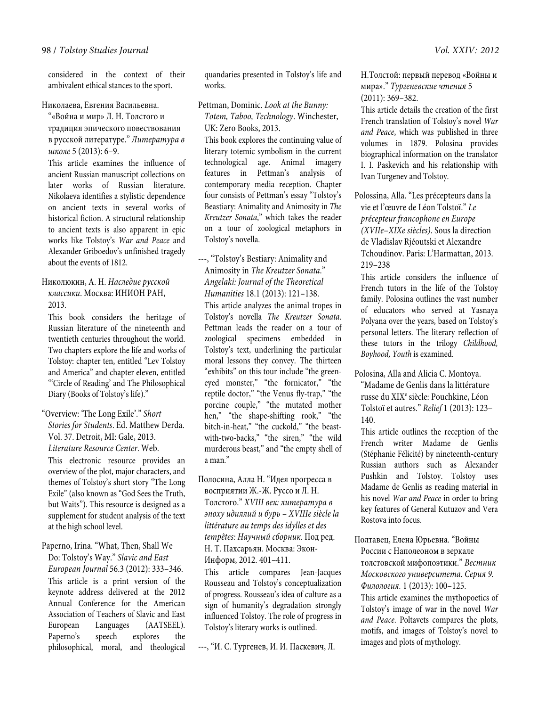considered in the context of their ambivalent ethical stances to the sport.

#### Николаева, Евгения Васильевна.

"«Война и мир» Л. Н. Толстого и традиция эпического повествования в русской литературе." *Литература в школе* 5 (2013): 6–9.

This article examines the influence of ancient Russian manuscript collections on later works of Russian literature. Nikolaeva identifies a stylistic dependence on ancient texts in several works of historical fiction. A structural relationship to ancient texts is also apparent in epic works like Tolstoy's *War and Peace* and Alexander Griboedov's unfinished tragedy about the events of 1812.

Николюкин, А. Н. *Наследие русской классики*. Москва: ИНИОН РАН, 2013.

This book considers the heritage of Russian literature of the nineteenth and twentieth centuries throughout the world. Two chapters explore the life and works of Tolstoy: chapter ten, entitled "Lev Tolstoy and America" and chapter eleven, entitled "'Circle of Reading' and The Philosophical Diary (Books of Tolstoy's life)."

"Overview: 'The Long Exile'." *Short Stories for Students*. Ed. Matthew Derda. Vol. 37. Detroit, MI: Gale, 2013. *Literature Resource Center*. Web.

This electronic resource provides an overview of the plot, major characters, and themes of Tolstoy's short story "The Long Exile" (also known as "God Sees the Truth, but Waits"). This resource is designed as a supplement for student analysis of the text at the high school level.

Paperno, Irina. "What, Then, Shall We Do: Tolstoy's Way." *Slavic and East European Journal* 56.3 (2012): 333–346. This article is a print version of the keynote address delivered at the 2012 Annual Conference for the American Association of Teachers of Slavic and East European Languages (AATSEEL). Paperno's speech explores the philosophical, moral, and theological

quandaries presented in Tolstoy's life and works.

Pettman, Dominic. *Look at the Bunny: Totem, Taboo, Technology*. Winchester, UK: Zero Books, 2013.

This book explores the continuing value of literary totemic symbolism in the current technological age. Animal imagery features in Pettman's analysis of contemporary media reception. Chapter four consists of Pettman's essay "Tolstoy's Beastiary: Animality and Animosity in *The Kreutzer Sonata*," which takes the reader on a tour of zoological metaphors in Tolstoy's novella.

#### ---, "Tolstoy's Bestiary: Animality and Animosity in *The Kreutzer Sonata*." *Angelaki: Journal of the Theoretical Humanities* 18.1 (2013): 121–138.

This article analyzes the animal tropes in Tolstoy's novella *The Kreutzer Sonata*. Pettman leads the reader on a tour of zoological specimens embedded in Tolstoy's text, underlining the particular moral lessons they convey. The thirteen "exhibits" on this tour include "the greeneyed monster," "the fornicator," "the reptile doctor," "the Venus fly-trap," "the porcine couple," "the mutated mother hen," "the shape-shifting rook," "the bitch-in-heat," "the cuckold," "the beastwith-two-backs," "the siren," "the wild murderous beast," and "the empty shell of a man."

Полосина, Алла Н. "Идея прогресса в восприятии Ж.-Ж. Руссо и Л. Н. Толстого." *XVIII век: литература в эпоху идиллий и бурь – XVIIIe siècle la littérature au temps des idylles et des tempêtes: Научный сборник*. Под ред. Н. Т. Пахсарьян. Москва: Экон-Информ, 2012. 401–411.

This article compares Jean-Jacques Rousseau and Tolstoy's conceptualization of progress. Rousseau's idea of culture as a sign of humanity's degradation strongly influenced Tolstoy. The role of progress in Tolstoy's literary works is outlined.

---, "И. С. Тургенев, И. И. Паскевич, Л.

Н.Толстой: первый перевод «Войны и мира»." *Тургеневские чтения* 5 (2011): 369–382.

This article details the creation of the first French translation of Tolstoy's novel *War and Peace*, which was published in three volumes in 1879. Polosina provides biographical information on the translator I. I. Paskevich and his relationship with Ivan Turgenev and Tolstoy.

Polossina, Alla. "Les précepteurs dans la vie et l'œuvre de Léon Tolstoï." *Le précepteur francophone en Europe (XVIIe*–*XIXe siècles)*. Sous la direction de Vladislav Rjéoutski et Alexandre Tchoudinov. Paris: L'Harmattan, 2013. 219–238

This article considers the influence of French tutors in the life of the Tolstoy family. Polosina outlines the vast number of educators who served at Yasnaya Polyana over the years, based on Tolstoy's personal letters. The literary reflection of these tutors in the trilogy *Childhood, Boyhood, Youth* is examined.

Polosina, Alla and Alicia C. Montoya. "Madame de Genlis dans la littérature russe du XIX<sup>e</sup> siècle: Pouchkine, Léon Tolstoï et autres." *Relief* 1 (2013): 123– 140.

This article outlines the reception of the French writer Madame de Genlis (Stéphanie Félicité) by nineteenth-century Russian authors such as Alexander Pushkin and Tolstoy. Tolstoy uses Madame de Genlis as reading material in his novel *War and Peace* in order to bring key features of General Kutuzov and Vera Rostova into focus.

Полтавец, Елена Юрьевна. "Войны России с Наполеоном в зеркале толстовской мифопоэтики." *Вестник Московского университета. Серия 9.* 

*Филология.* 1 (2013): 100–125.

This article examines the mythopoetics of Tolstoy's image of war in the novel *War and Peace*. Poltavets compares the plots, motifs, and images of Tolstoy's novel to images and plots of mythology.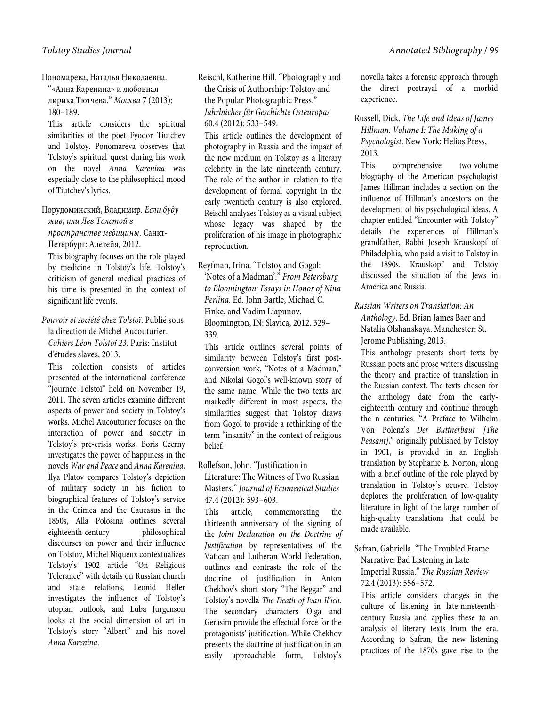Пономарева, Наталья Николаевна. "«Анна Каренина» и любовная

лирика Тютчева." *Москва* 7 (2013): 180–189.

This article considers the spiritual similarities of the poet Fyodor Tiutchev and Tolstoy. Ponomareva observes that Tolstoy's spiritual quest during his work on the novel *Anna Karenina* was especially close to the philosophical mood of Tiutchev's lyrics.

Порудоминский, Владимир. *Если буду жив, или Лев Толстой в пространстве медицины*. Санкт-Петербург: Алетейя, 2012.

This biography focuses on the role played by medicine in Tolstoy's life. Tolstoy's criticism of general medical practices of his time is presented in the context of significant life events.

*Pouvoir et société chez Tolstoï*. Publié sous la direction de Michel Aucouturier. *Cahiers Léon Tolstoï 23*. Paris: Institut d'études slaves, 2013.

This collection consists of articles presented at the international conference "Journée Tolstoï" held on November 19, 2011. The seven articles examine different aspects of power and society in Tolstoy's works. Michel Aucouturier focuses on the interaction of power and society in Tolstoy's pre-crisis works, Boris Czerny investigates the power of happiness in the novels *War and Peace* and *Anna Karenina*, Ilya Platov compares Tolstoy's depiction of military society in his fiction to biographical features of Tolstoy's service in the Crimea and the Caucasus in the 1850s, Alla Polosina outlines several eighteenth-century philosophical discourses on power and their influence on Tolstoy, Michel Niqueux contextualizes Tolstoy's 1902 article "On Religious Tolerance" with details on Russian church and state relations, Leonid Heller investigates the influence of Tolstoy's utopian outlook, and Luba Jurgenson looks at the social dimension of art in Tolstoy's story "Albert" and his novel *Anna Karenina*.

Reischl, Katherine Hill. "Photography and the Crisis of Authorship: Tolstoy and the Popular Photographic Press." *Jahrbücher für Geschichte Osteuropas* 60.4 (2012): 533–549.

This article outlines the development of photography in Russia and the impact of the new medium on Tolstoy as a literary celebrity in the late nineteenth century. The role of the author in relation to the development of formal copyright in the early twentieth century is also explored. Reischl analyzes Tolstoy as a visual subject whose legacy was shaped by the proliferation of his image in photographic reproduction.

Reyfman, Irina. "Tolstoy and Gogol: 'Notes of a Madman'." *From Petersburg to Bloomington: Essays in Honor of Nina Perlina*. Ed. John Bartle, Michael C. Finke, and Vadim Liapunov. Bloomington, IN: Slavica, 2012. 329– 339.

This article outlines several points of similarity between Tolstoy's first postconversion work, "Notes of a Madman," and Nikolai Gogol's well-known story of the same name. While the two texts are markedly different in most aspects, the similarities suggest that Tolstoy draws from Gogol to provide a rethinking of the term "insanity" in the context of religious belief.

## Rollefson, John. "Justification in Literature: The Witness of Two Russian Masters." *Journal of Ecumenical Studies* 47.4 (2012): 593–603.

This article, commemorating the thirteenth anniversary of the signing of the *Joint Declaration on the Doctrine of Justification* by representatives of the Vatican and Lutheran World Federation, outlines and contrasts the role of the doctrine of justification in Anton Chekhov's short story "The Beggar" and Tolstoy's novella *The Death of Ivan Il'ich*. The secondary characters Olga and Gerasim provide the effectual force for the protagonists' justification. While Chekhov presents the doctrine of justification in an easily approachable form, Tolstoy's

novella takes a forensic approach through the direct portrayal of a morbid experience.

Russell, Dick. *The Life and Ideas of James Hillman. Volume I: The Making of a Psychologist*. New York: Helios Press, 2013.

This comprehensive two-volume biography of the American psychologist James Hillman includes a section on the influence of Hillman's ancestors on the development of his psychological ideas. A chapter entitled "Encounter with Tolstoy" details the experiences of Hillman's grandfather, Rabbi Joseph Krauskopf of Philadelphia, who paid a visit to Tolstoy in the 1890s. Krauskopf and Tolstoy discussed the situation of the Jews in America and Russia.

*Russian Writers on Translation: An Anthology*. Ed. Brian James Baer and Natalia Olshanskaya. Manchester: St. Jerome Publishing, 2013.

This anthology presents short texts by Russian poets and prose writers discussing the theory and practice of translation in the Russian context. The texts chosen for the anthology date from the earlyeighteenth century and continue through the n centuries. "A Preface to Wilhelm Von Polenz's *Der Buttnerbaur [The Peasant]*," originally published by Tolstoy in 1901, is provided in an English translation by Stephanie E. Norton, along with a brief outline of the role played by translation in Tolstoy's oeuvre. Tolstoy deplores the proliferation of low-quality literature in light of the large number of high-quality translations that could be made available.

Safran, Gabriella. "The Troubled Frame Narrative: Bad Listening in Late Imperial Russia." *The Russian Review* 72.4 (2013): 556–572.

This article considers changes in the culture of listening in late-nineteenthcentury Russia and applies these to an analysis of literary texts from the era. According to Safran, the new listening practices of the 1870s gave rise to the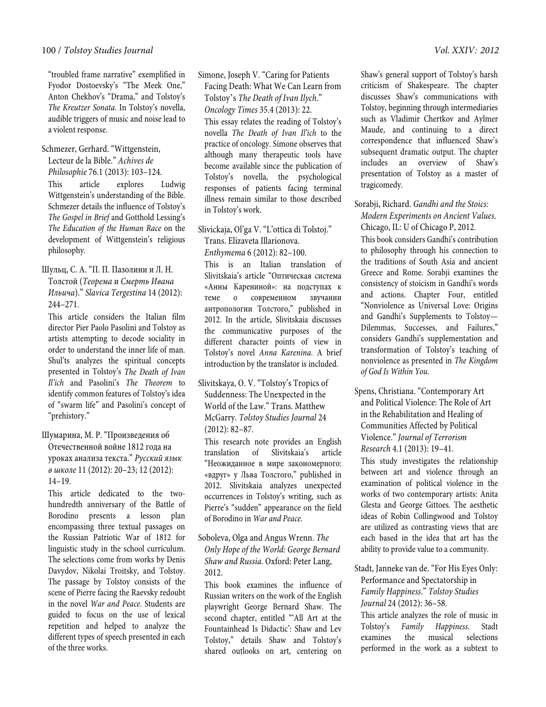"troubled frame narrative" exemplified in Fyodor Dostoevsky's "The Meek One," Anton Chekhov's "Drama," and Tolstoy's *The Kreutzer Sonata*. In Tolstoy's novella, audible triggers of music and noise lead to a violent response.

Schmezer, Gerhard. "Wittgenstein, Lecteur de la Bible." *Achives de Philosophie* 76.1 (2013): 103–124. This article explores Ludwig Wittgenstein's understanding of the Bible. Schmezer details the influence of Tolstoy's *The Gospel in Brief* and Gotthold Lessing's *The Education of the Human Race* on the development of Wittgenstein's religious philosophy.

Шульц, С. А. "П. П. Пазолини и Л. Н. Толстой (*Теорема* и *Смерть Ивана Ильича*)." *Slavica Tergestina* 14 (2012): 244–271.

This article considers the Italian film director Pier Paolo Pasolini and Tolstoy as artists attempting to decode sociality in order to understand the inner life of man. Shul'ts analyzes the spiritual concepts presented in Tolstoy's *The Death of Ivan Il'ich* and Pasolini's *The Theorem* to identify common features of Tolstoy's idea of "swarm life" and Pasolini's concept of "prehistory."

Шумарина, М. Р. "Произведения об Отечественной войне 1812 года на уроках анализа текста." *Русский язык в школе* 11 (2012): 20–23; 12 (2012): 14–19.

This article dedicated to the twohundredth anniversary of the Battle of Borodino presents a lesson plan encompassing three textual passages on the Russian Patriotic War of 1812 for linguistic study in the school curriculum. The selections come from works by Denis Davydov, Nikolai Troitsky, and Tolstoy. The passage by Tolstoy consists of the scene of Pierre facing the Raevsky redoubt in the novel *War and Peace*. Students are guided to focus on the use of lexical repetition and helped to analyze the different types of speech presented in each of the three works.

Simone, Joseph V. "Caring for Patients Facing Death: What We Can Learn from Tolstoy's *The Death of Ivan Ilych*." *Oncology Times* 35.4 (2013): 22.

This essay relates the reading of Tolstoy's novella *The Death of Ivan Il'ich* to the practice of oncology. Simone observes that although many therapeutic tools have become available since the publication of Tolstoy's novella, the psychological responses of patients facing terminal illness remain similar to those described in Tolstoy's work.

Slivickaja, Ol'ga V. "L'ottica di Tolstoj." Trans. Elizaveta Illarionova. *Enthymema* 6 (2012): 82–100.

This is an Italian translation of Slivitskaia's article "Оптическая система «Анны Карениной»: на подступах к теме о современном звучании антропологии Толстого," published in 2012. In the article, Slivitskaia discusses the communicative purposes of the different character points of view in Tolstoy's novel *Anna Karenina*. A brief introduction by the translator is included.

Slivitskaya, O. V. "Tolstoy's Tropics of Suddenness: The Unexpected in the World of the Law." Trans. Matthew McGarry. *Tolstoy Studies Journal* 24 (2012): 82–87.

This research note provides an English translation of Slivitskaia's article "Неожиданное в мире закономерного: «вдруг» у Льва Толстого," published in 2012. Slivitskaia analyzes unexpected occurrences in Tolstoy's writing, such as Pierre's "sudden" appearance on the field of Borodino in *War and Peace*.

#### Soboleva, Olga and Angus Wrenn. *The Only Hope of the World: George Bernard Shaw and Russia*. Oxford: Peter Lang, 2012.

This book examines the influence of Russian writers on the work of the English playwright George Bernard Shaw. The second chapter, entitled "'All Art at the Fountainhead Is Didactic': Shaw and Lev Tolstoy," details Shaw and Tolstoy's shared outlooks on art, centering on

Shaw's general support of Tolstoy's harsh criticism of Shakespeare. The chapter discusses Shaw's communications with Tolstoy, beginning through intermediaries such as Vladimir Chertkov and Aylmer Maude, and continuing to a direct correspondence that influenced Shaw's subsequent dramatic output. The chapter includes an overview of Shaw's presentation of Tolstoy as a master of tragicomedy.

Sorabji, Richard. *Gandhi and the Stoics: Modern Experiments on Ancient Values*. Chicago, IL: U of Chicago P, 2012.

This book considers Gandhi's contribution to philosophy through his connection to the traditions of South Asia and ancient Greece and Rome. Sorabii examines the consistency of stoicism in Gandhi's words and actions. Chapter Four, entitled "Nonviolence as Universal Love: Origins and Gandhi's Supplements to Tolstoy— Dilemmas, Successes, and Failures," considers Gandhi's supplementation and transformation of Tolstoy's teaching of nonviolence as presented in *The Kingdom of God Is Within You*.

Spens, Christiana. "Contemporary Art and Political Violence: The Role of Art in the Rehabilitation and Healing of Communities Affected by Political Violence." *Journal of Terrorism Research* 4.1 (2013): 19–41.

This study investigates the relationship between art and violence through an examination of political violence in the works of two contemporary artists: Anita Glesta and George Gittoes. The aesthetic ideas of Robin Collingwood and Tolstoy are utilized as contrasting views that are each based in the idea that art has the ability to provide value to a community.

Stadt, Janneke van de. "For His Eyes Only: Performance and Spectatorship in *Family Happiness*." *Tolstoy Studies Journal* 24 (2012): 36–58.

This article analyzes the role of music in Tolstoy's *Family Happiness*. Stadt examines the musical selections performed in the work as a subtext to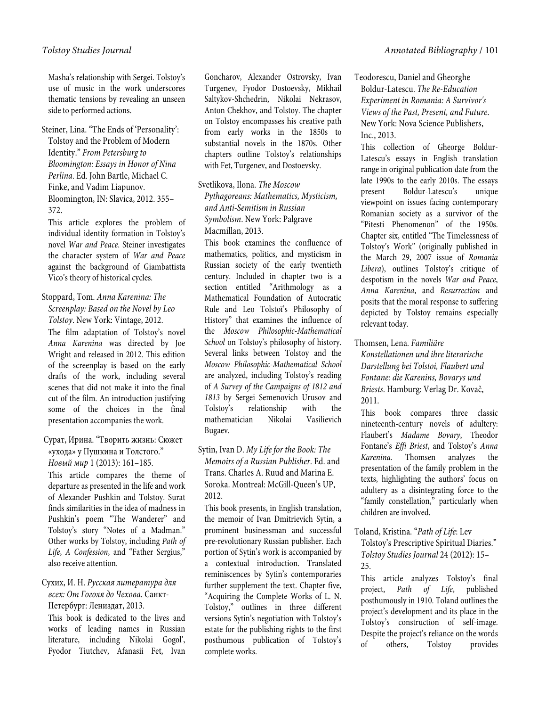Masha's relationship with Sergei. Tolstoy's use of music in the work underscores thematic tensions by revealing an unseen side to performed actions.

Steiner, Lina. "The Ends of 'Personality': Tolstoy and the Problem of Modern Identity." *From Petersburg to Bloomington: Essays in Honor of Nina Perlina*. Ed. John Bartle, Michael C. Finke, and Vadim Liapunov. Bloomington, IN: Slavica, 2012. 355– 372.

This article explores the problem of individual identity formation in Tolstoy's novel *War and Peace*. Steiner investigates the character system of *War and Peace*  against the background of Giambattista Vico's theory of historical cycles.

Stoppard, Tom. *Anna Karenina: The Screenplay: Based on the Novel by Leo Tolstoy*. New York: Vintage, 2012. The film adaptation of Tolstoy's novel *Anna Karenina* was directed by Joe Wright and released in 2012. This edition of the screenplay is based on the early drafts of the work, including several scenes that did not make it into the final cut of the film. An introduction justifying some of the choices in the final presentation accompanies the work.

 Сурат, Ирина. "Творить жизнь: Сюжет «ухода» у Пушкина и Толстого." *Новый мир* 1 (2013): 161–185.

This article compares the theme of departure as presented in the life and work of Alexander Pushkin and Tolstoy. Surat finds similarities in the idea of madness in Pushkin's poem "The Wanderer" and Tolstoy's story "Notes of a Madman." Other works by Tolstoy, including *Path of Life*, *A Confession*, and "Father Sergius," also receive attention.

#### Сухих, И. Н. *Русская литература для всех: От Гоголя до Чехова*. Санкт-Петербург: Лениздат, 2013.

This book is dedicated to the lives and works of leading names in Russian literature, including Nikolai Gogol', Fyodor Tiutchev, Afanasii Fet, Ivan

Goncharov, Alexander Ostrovsky, Ivan Turgenev, Fyodor Dostoevsky, Mikhail Saltykov-Shchedrin, Nikolai Nekrasov, Anton Chekhov, and Tolstoy. The chapter on Tolstoy encompasses his creative path from early works in the 1850s to substantial novels in the 1870s. Other chapters outline Tolstoy's relationships with Fet, Turgenev, and Dostoevsky.

Svetlikova, Ilona. *The Moscow Pythagoreans: Mathematics, Mysticism, and Anti-Semitism in Russian Symbolism*. New York: Palgrave Macmillan, 2013.

This book examines the confluence of mathematics, politics, and mysticism in Russian society of the early twentieth century. Included in chapter two is a section entitled "Arithmology as a Mathematical Foundation of Autocratic Rule and Leo Tolstoĭ's Philosophy of History" that examines the influence of the *Moscow Philosophic-Mathematical School* on Tolstoy's philosophy of history. Several links between Tolstoy and the *Moscow Philosophic-Mathematical School* are analyzed, including Tolstoy's reading of *A Survey of the Campaigns of 1812 and 1813* by Sergei Semenovich Urusov and Tolstoy's relationship with the mathematician Nikolai Vasilievich Bugaev.

#### Sytin, Ivan D. *My Life for the Book: The Memoirs of a Russian Publisher*. Ed. and Trans. Charles A. Ruud and Marina E. Soroka. Montreal: McGill-Queen's UP, 2012.

This book presents, in English translation, the memoir of Ivan Dmitrievich Sytin, a prominent businessman and successful pre-revolutionary Russian publisher. Each portion of Sytin's work is accompanied by a contextual introduction. Translated reminiscences by Sytin's contemporaries further supplement the text. Chapter five, "Acquiring the Complete Works of L. N. Tolstoy," outlines in three different versions Sytin's negotiation with Tolstoy's estate for the publishing rights to the first posthumous publication of Tolstoy's complete works.

Teodorescu, Daniel and Gheorghe Boldur-Latescu. *The Re-Education Experiment in Romania: A Survivor's Views of the Past, Present, and Future*. New York: Nova Science Publishers, Inc.,  $2013$ .

This collection of Gheorge Boldur-Latescu's essays in English translation range in original publication date from the late 1990s to the early 2010s. The essays present Boldur-Latescu's unique viewpoint on issues facing contemporary Romanian society as a survivor of the "Pitesti Phenomenon" of the 1950s. Chapter six, entitled "The Timelessness of Tolstoy's Work" (originally published in the March 29, 2007 issue of *Romania Libera*), outlines Tolstoy's critique of despotism in the novels *War and Peace*, *Anna Karenina*, and *Resurrection* and posits that the moral response to suffering depicted by Tolstoy remains especially relevant today.

Thomsen, Lena. *Familiäre* 

*Konstellationen und ihre literarische Darstellung bei Tolstoi, Flaubert und Fontane: die Karenins, Bovarys und Briests*. Hamburg: Verlag Dr. Kovač, 2011.

This book compares three classic nineteenth-century novels of adultery: Flaubert's *Madame Bovary*, Theodor Fontane's *Effi Briest*, and Tolstoy's *Anna Karenina*. Thomsen analyzes the presentation of the family problem in the texts, highlighting the authors' focus on adultery as a disintegrating force to the "family constellation," particularly when children are involved.

# Toland, Kristina. "*Path of Life*: Lev

Tolstoy's Prescriptive Spiritual Diaries." *Tolstoy Studies Journal* 24 (2012): 15– 25.

This article analyzes Tolstoy's final project, *Path of Life*, published posthumously in 1910. Toland outlines the project's development and its place in the Tolstoy's construction of self-image. Despite the project's reliance on the words of others, Tolstoy provides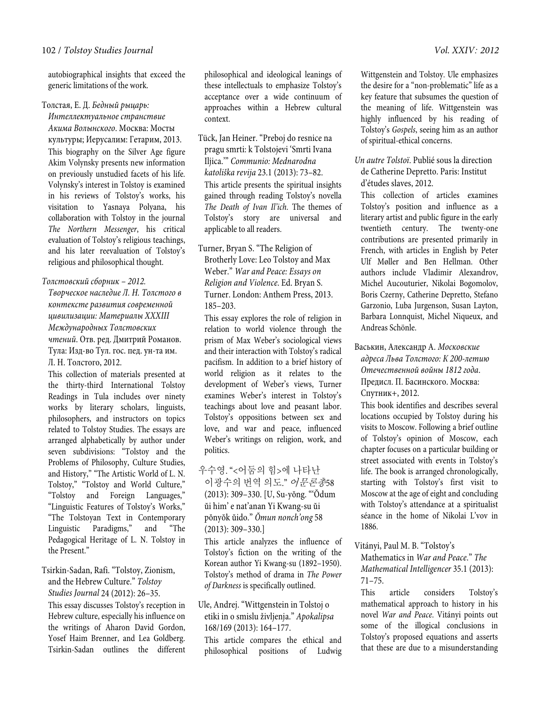autobiographical insights that exceed the generic limitations of the work.

#### Толстая, Е. Д. *Бедный рыцарь:*

*Интеллектуальное странствие Акима Волынского*. Москва: Мосты культуры; Иерусалим: Гетарим, 2013. This biography on the Silver Age figure Akim Volynsky presents new information on previously unstudied facets of his life. Volynsky's interest in Tolstoy is examined in his reviews of Tolstoy's works, his visitation to Yasnaya Polyana, his collaboration with Tolstoy in the journal *The Northern Messenger*, his critical evaluation of Tolstoy's religious teachings, and his later reevaluation of Tolstoy's religious and philosophical thought.

#### *Толстовский сборник – 2012.*

*Творческое наследие Л. Н. Толстого в контексте развития современной цивилизации: Материалы XXXIII Международных Толстовских чтений*. Отв. ред. Дмитрий Романов. Тула: Изд-во Тул. гос. пед. ун-та им. Л. Н. Толстого, 2012.

This collection of materials presented at the thirty-third International Tolstoy Readings in Tula includes over ninety works by literary scholars, linguists, philosophers, and instructors on topics related to Tolstoy Studies. The essays are arranged alphabetically by author under seven subdivisions: "Tolstoy and the Problems of Philosophy, Culture Studies, and History," "The Artistic World of L. N. Tolstoy," "Tolstoy and World Culture," "Tolstoy and Foreign Languages," "Linguistic Features of Tolstoy's Works," "The Tolstoyan Text in Contemporary Linguistic Paradigms," and "The Pedagogical Heritage of L. N. Tolstoy in the Present."

#### Tsirkin-Sadan, Rafi. "Tolstoy, Zionism, and the Hebrew Culture." *Tolstoy Studies Journal* 24 (2012): 26–35.

This essay discusses Tolstoy's reception in Hebrew culture, especially his influence on the writings of Aharon David Gordon, Yosef Haim Brenner, and Lea Goldberg. Tsirkin-Sadan outlines the different philosophical and ideological leanings of these intellectuals to emphasize Tolstoy's acceptance over a wide continuum of approaches within a Hebrew cultural context.

Tück, Jan Heiner. "Preboj do resnice na pragu smrti: k Tolstojevi 'Smrti Ivana Iljica.'" *Communio: Mednarodna katoliška revija* 23.1 (2013): 73–82. This article presents the spiritual insights gained through reading Tolstoy's novella *The Death of Ivan Il'ich*. The themes of Tolstoy's story are universal and applicable to all readers.

Turner, Bryan S. "The Religion of Brotherly Love: Leo Tolstoy and Max Weber." *War and Peace: Essays on Religion and Violence*. Ed. Bryan S. Turner. London: Anthem Press, 2013. 185–203.

This essay explores the role of religion in relation to world violence through the prism of Max Weber's sociological views and their interaction with Tolstoy's radical pacifism. In addition to a brief history of world religion as it relates to the development of Weber's views, Turner examines Weber's interest in Tolstoy's teachings about love and peasant labor. Tolstoy's oppositions between sex and love, and war and peace, influenced Weber's writings on religion, work, and politics.

우수영. "<어둠의 힘>에 나타난 이광수의 번역 의도." 어문론총58 (2013): 309–330. [U, Su-yŏng. "'Ŏdum ŭi him' e nat'anan Yi Kwang-su ŭi pŏnyŏk ŭido." *Ŏmun nonch'ong* 58 (2013): 309–330.]

This article analyzes the influence of Tolstoy's fiction on the writing of the Korean author Yi Kwang-su (1892–1950). Tolstoy's method of drama in *The Power of Darkness* is specifically outlined.

# Ule, Andrej. "Wittgenstein in Tolstoj o etiki in o smislu življenja." *Apokalipsa* 168/169 (2013): 164–177.

This article compares the ethical and philosophical positions of Ludwig

Wittgenstein and Tolstoy. Ule emphasizes the desire for a "non-problematic" life as a key feature that subsumes the question of the meaning of life. Wittgenstein was highly influenced by his reading of Tolstoy's *Gospels*, seeing him as an author of spiritual-ethical concerns.

*Un autre Tolstoï*. Publié sous la direction de Catherine Depretto. Paris: Institut d'études slaves, 2012.

This collection of articles examines Tolstoy's position and influence as a literary artist and public figure in the early twentieth century. The twenty-one contributions are presented primarily in French, with articles in English by Peter Ulf Møller and Ben Hellman. Other authors include Vladimir Alexandrov, Michel Aucouturier, Nikolai Bogomolov, Boris Czerny, Catherine Depretto, Stefano Garzonio, Luba Jurgenson, Susan Layton, Barbara Lonnquist, Michel Niqueux, and Andreas Schönle.

Васькин, Александр А. *Московские адреса Льва Толстого: К 200-летию Отечественной войны 1812 года*. Предисл. П. Басинского. Москва: Спутник+, 2012.

This book identifies and describes several locations occupied by Tolstoy during his visits to Moscow. Following a brief outline of Tolstoy's opinion of Moscow, each chapter focuses on a particular building or street associated with events in Tolstoy's life. The book is arranged chronologically, starting with Tolstoy's first visit to Moscow at the age of eight and concluding with Tolstoy's attendance at a spiritualist séance in the home of Nikolai L'vov in 1886.

Vitányi, Paul M. B. "Tolstoy's

Mathematics in *War and Peace*." *The Mathematical Intelligencer* 35.1 (2013): 71–75.

This article considers Tolstoy's mathematical approach to history in his novel *War and Peace*. Vitányi points out some of the illogical conclusions in Tolstoy's proposed equations and asserts that these are due to a misunderstanding